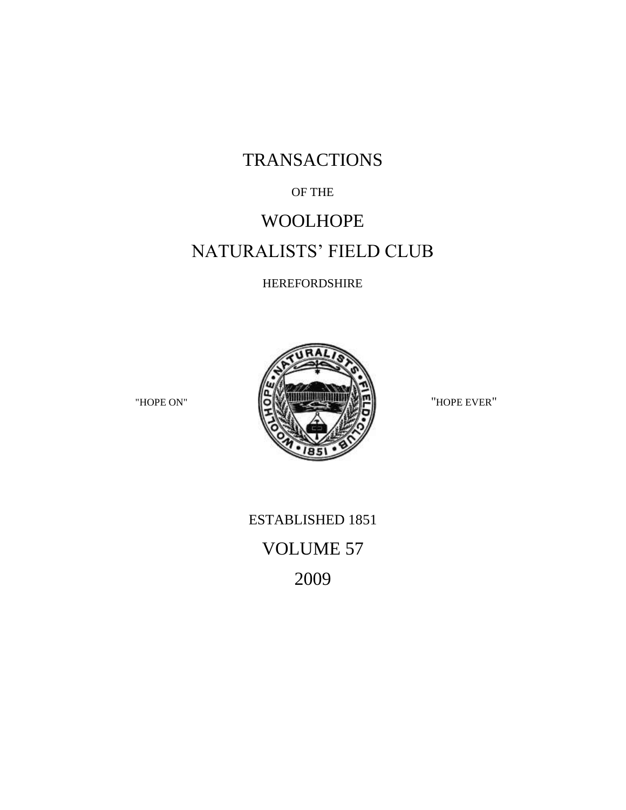## TRANSACTIONS

### OF THE

### WOOLHOPE

# NATURALISTS' FIELD CLUB

### HEREFORDSHIRE



ESTABLISHED 1851 VOLUME 57 2009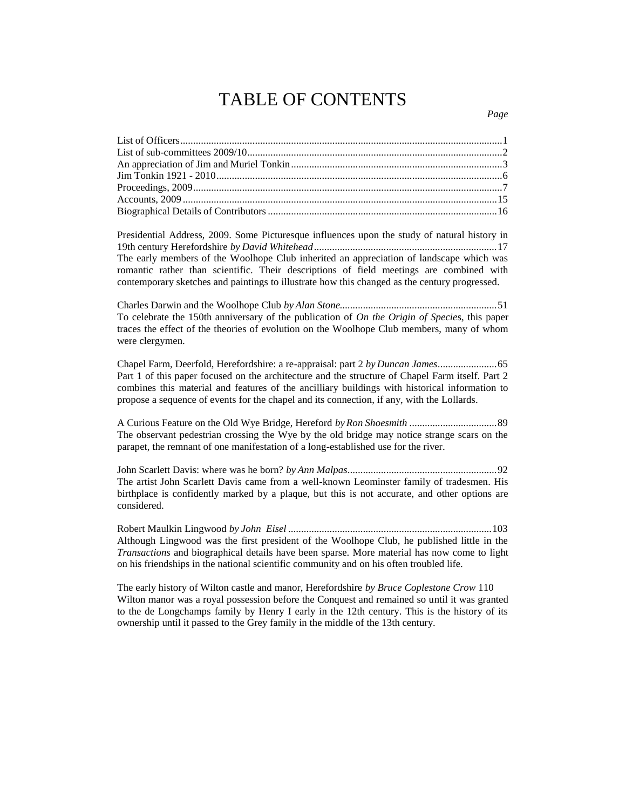## TABLE OF CONTENTS

| Presidential Address, 2009. Some Picturesque influences upon the study of natural history in |  |
|----------------------------------------------------------------------------------------------|--|
|                                                                                              |  |
| The centre members of the Weelhouse Club inherited an engagement on of landscene which west  |  |

The early members of the Woolhope Club inherited an appreciation of landscape which was romantic rather than scientific. Their descriptions of field meetings are combined with contemporary sketches and paintings to illustrate how this changed as the century progressed.

Charles Darwin and the Woolhope Club *by Alan Stone.............................................................*51 To celebrate the 150th anniversary of the publication of *On the Origin of Specie*s, this paper traces the effect of the theories of evolution on the Woolhope Club members, many of whom were clergymen.

Chapel Farm, Deerfold, Herefordshire: a re-appraisal: part 2 *by Duncan James.......................*65 Part 1 of this paper focused on the architecture and the structure of Chapel Farm itself. Part 2 combines this material and features of the ancilliary buildings with historical information to propose a sequence of events for the chapel and its connection, if any, with the Lollards.

A Curious Feature on the Old Wye Bridge, Hereford *by Ron Shoesmith ..................................*89 The observant pedestrian crossing the Wye by the old bridge may notice strange scars on the parapet, the remnant of one manifestation of a long-established use for the river.

John Scarlett Davis: where was he born? *by Ann Malpas..........................................................*92 The artist John Scarlett Davis came from a well-known Leominster family of tradesmen. His birthplace is confidently marked by a plaque, but this is not accurate, and other options are considered.

Robert Maulkin Lingwood *by John Eisel ...............................................................................*103 Although Lingwood was the first president of the Woolhope Club, he published little in the *Transactions* and biographical details have been sparse. More material has now come to light on his friendships in the national scientific community and on his often troubled life.

The early history of Wilton castle and manor, Herefordshire *by Bruce Coplestone Crow* 110 Wilton manor was a royal possession before the Conquest and remained so until it was granted to the de Longchamps family by Henry I early in the 12th century. This is the history of its ownership until it passed to the Grey family in the middle of the 13th century.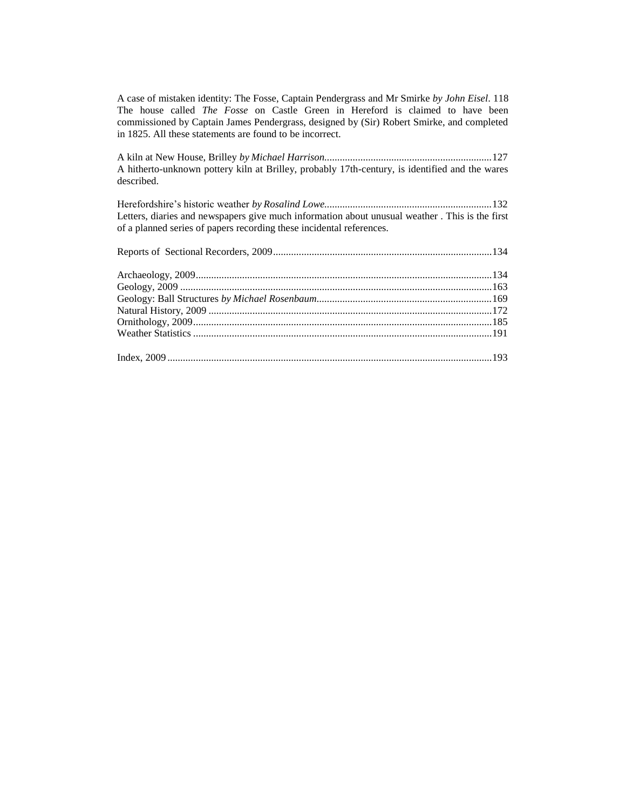A case of mistaken identity: The Fosse, Captain Pendergrass and Mr Smirke *by John Eisel*. 118 The house called *The Fosse* on Castle Green in Hereford is claimed to have been commissioned by Captain James Pendergrass, designed by (Sir) Robert Smirke, and completed in 1825. All these statements are found to be incorrect.

A kiln at New House, Brilley *by Michael Harrison.................................................................*127 A hitherto-unknown pottery kiln at Brilley, probably 17th-century, is identified and the wares described.

Herefordshire's historic weather *by Rosalind Lowe.................................................................*132 Letters, diaries and newspapers give much information about unusual weather . This is the first of a planned series of papers recording these incidental references.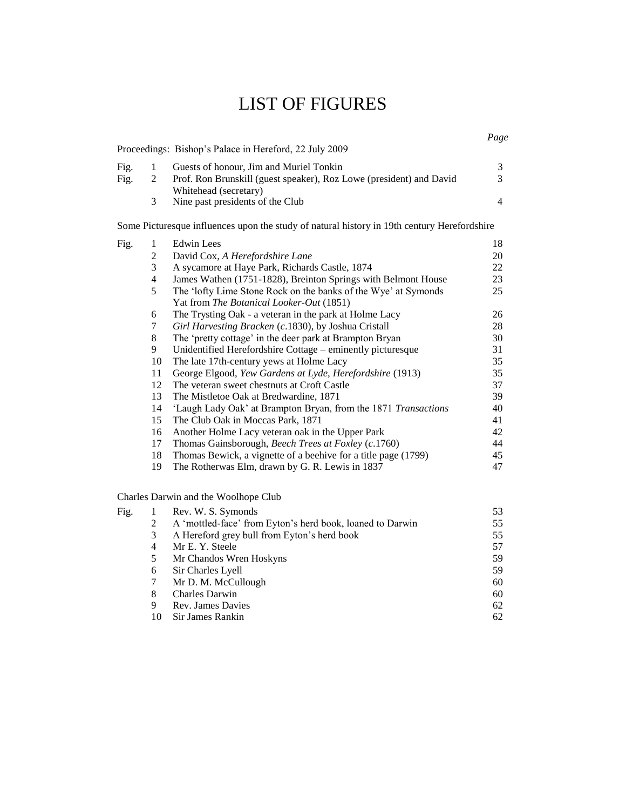# LIST OF FIGURES

|      |   | Proceedings: Bishop's Palace in Hereford, 22 July 2009                                       |  |
|------|---|----------------------------------------------------------------------------------------------|--|
| Fig. |   | Guests of honour, Jim and Muriel Tonkin                                                      |  |
| Fig. |   | Prof. Ron Brunskill (guest speaker), Roz Lowe (president) and David<br>Whitehead (secretary) |  |
|      | 3 | Nine past presidents of the Club                                                             |  |

Some Picturesque influences upon the study of natural history in 19th century Herefordshire

| Fig. |    | Edwin Lees                                                     | 18 |
|------|----|----------------------------------------------------------------|----|
|      | 2  | David Cox, A Herefordshire Lane                                | 20 |
|      | 3  | A sycamore at Haye Park, Richards Castle, 1874                 | 22 |
|      | 4  | James Wathen (1751-1828), Breinton Springs with Belmont House  | 23 |
|      | 5  | The 'lofty Lime Stone Rock on the banks of the Wye' at Symonds | 25 |
|      |    | Yat from <i>The Botanical Looker-Out</i> (1851)                |    |
|      | 6  | The Trysting Oak - a veteran in the park at Holme Lacy         | 26 |
|      | 7  | Girl Harvesting Bracken (c.1830), by Joshua Cristall           | 28 |
|      | 8  | The 'pretty cottage' in the deer park at Brampton Bryan        | 30 |
|      | 9  | Unidentified Herefordshire Cottage – eminently picturesque     | 31 |
|      | 10 | The late 17th-century yews at Holme Lacy                       | 35 |
|      | 11 | George Elgood, Yew Gardens at Lyde, Herefordshire (1913)       | 35 |
|      | 12 | The veteran sweet chestnuts at Croft Castle                    | 37 |
|      | 13 | The Mistletoe Oak at Bredwardine, 1871                         | 39 |
|      | 14 | 'Laugh Lady Oak' at Brampton Bryan, from the 1871 Transactions | 40 |
|      | 15 | The Club Oak in Moccas Park, 1871                              | 41 |
|      | 16 | Another Holme Lacy veteran oak in the Upper Park               | 42 |
|      | 17 | Thomas Gainsborough, Beech Trees at Foxley (c.1760)            | 44 |
|      | 18 | Thomas Bewick, a vignette of a beehive for a title page (1799) | 45 |
|      | 19 | The Rotherwas Elm, drawn by G. R. Lewis in 1837                | 47 |
|      |    |                                                                |    |

Charles Darwin and the Woolhope Club

| Fig. |    | Rev. W. S. Symonds                                        | 53 |
|------|----|-----------------------------------------------------------|----|
|      | 2  | A 'mottled-face' from Eyton's herd book, loaned to Darwin | 55 |
|      | 3  | A Hereford grey bull from Eyton's herd book               | 55 |
|      | 4  | Mr E. Y. Steele                                           | 57 |
|      | 5  | Mr Chandos Wren Hoskyns                                   | 59 |
|      | 6  | Sir Charles Lyell                                         | 59 |
|      | 7  | Mr D. M. McCullough                                       | 60 |
|      | 8  | <b>Charles Darwin</b>                                     | 60 |
|      | 9  | Rev. James Davies                                         | 62 |
|      | 10 | Sir James Rankin                                          | 62 |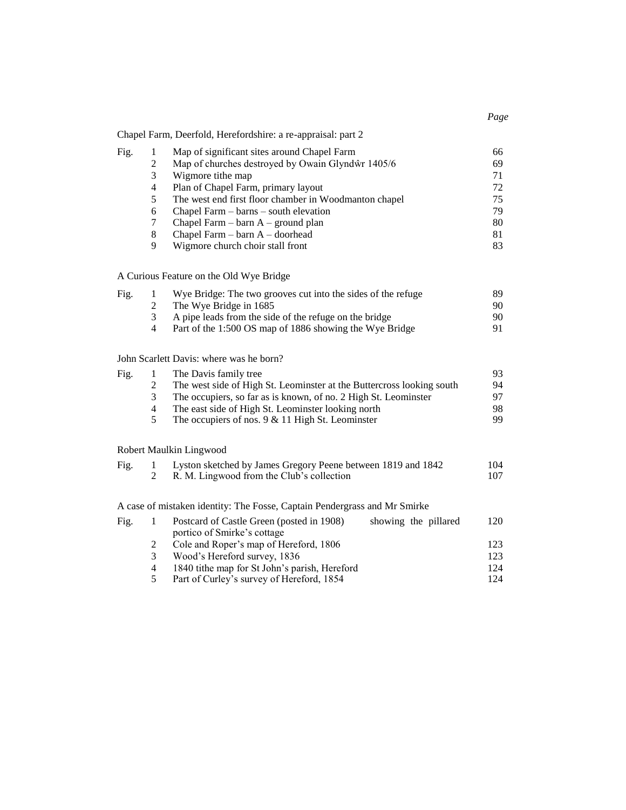|      |                | Chapel Farm, Deerfold, Herefordshire: a re-appraisal: part 2              |     |
|------|----------------|---------------------------------------------------------------------------|-----|
| Fig. | $\mathbf{1}$   | Map of significant sites around Chapel Farm                               | 66  |
|      | $\overline{c}$ | Map of churches destroyed by Owain Glyndŵr 1405/6                         | 69  |
|      | 3              | Wigmore tithe map                                                         | 71  |
|      | $\overline{4}$ | Plan of Chapel Farm, primary layout                                       | 72  |
|      | 5              | The west end first floor chamber in Woodmanton chapel                     | 75  |
|      | 6              | Chapel Farm - barns - south elevation                                     | 79  |
|      | 7              | Chapel Farm $-$ barn $A$ – ground plan                                    | 80  |
|      | $\,8\,$        | Chapel Farm - barn A - doorhead                                           | 81  |
|      | 9              | Wigmore church choir stall front                                          | 83  |
|      |                | A Curious Feature on the Old Wye Bridge                                   |     |
| Fig. | $\mathbf{1}$   | Wye Bridge: The two grooves cut into the sides of the refuge              | 89  |
|      | $\overline{c}$ | The Wye Bridge in 1685                                                    | 90  |
|      | 3              | A pipe leads from the side of the refuge on the bridge                    | 90  |
|      | 4              | Part of the 1:500 OS map of 1886 showing the Wye Bridge                   | 91  |
|      |                | John Scarlett Davis: where was he born?                                   |     |
| Fig. | $\mathbf{1}$   | The Davis family tree                                                     | 93  |
|      | $\overline{2}$ | The west side of High St. Leominster at the Buttercross looking south     | 94  |
|      | 3              | The occupiers, so far as is known, of no. 2 High St. Leominster           | 97  |
|      | $\overline{4}$ | The east side of High St. Leominster looking north                        | 98  |
|      | 5              | The occupiers of nos. $9 & 11$ High St. Leominster                        | 99  |
|      |                | Robert Maulkin Lingwood                                                   |     |
| Fig. | 1              | Lyston sketched by James Gregory Peene between 1819 and 1842              | 104 |
|      | $\overline{2}$ | R. M. Lingwood from the Club's collection                                 | 107 |
|      |                | A case of mistaken identity: The Fosse, Captain Pendergrass and Mr Smirke |     |
| Fig. | 1              | Postcard of Castle Green (posted in 1908)<br>showing the pillared         | 120 |
|      |                | portico of Smirke's cottage                                               |     |
|      | $\overline{c}$ | Cole and Roper's map of Hereford, 1806                                    | 123 |
|      | $\mathfrak{Z}$ | Wood's Hereford survey, 1836                                              | 123 |
|      | $\overline{4}$ | 1840 tithe map for St John's parish, Hereford                             | 124 |
|      | 5              | Part of Curley's survey of Hereford, 1854                                 | 124 |
|      |                |                                                                           |     |

*Page*